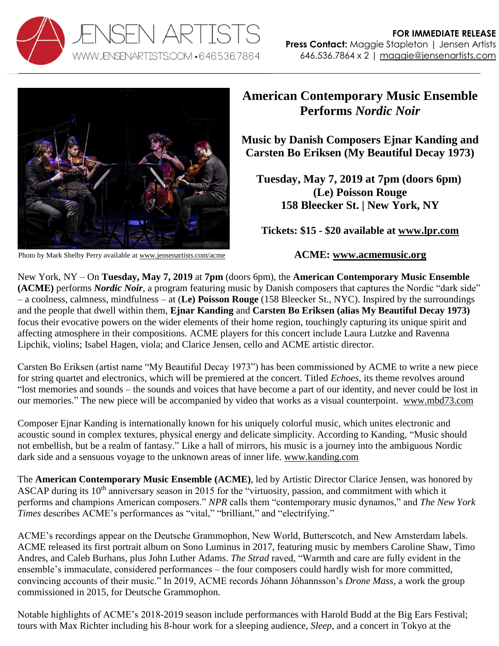



Photo by Mark Shelby Perry available at [www.jensenartists.com/acme](http://www.jensenartists.com/acme)

## **American Contemporary Music Ensemble Performs** *Nordic Noir*

**Music by Danish Composers Ejnar Kanding and Carsten Bo Eriksen (My Beautiful Decay 1973)** 

**Tuesday, May 7, 2019 at 7pm (doors 6pm) (Le) Poisson Rouge 158 Bleecker St. | New York, NY**

**Tickets: \$15 - \$20 available at [www.lpr.com](https://lpr.com/lpr_events/nordic-noir-may-7-2019/)**

## **ACME: [www.acmemusic.org](http://www.acmemusic.org/)**

New York, NY – On **Tuesday, May 7, 2019** at **7pm** (doors 6pm), the **American Contemporary Music Ensemble (ACME)** performs *Nordic Noir,* a program featuring music by Danish composers that captures the Nordic "dark side" – a coolness, calmness, mindfulness – at (**Le) Poisson Rouge** (158 Bleecker St., NYC). Inspired by the surroundings and the people that dwell within them, **Ejnar Kanding** and **Carsten Bo Eriksen (alias My Beautiful Decay 1973)** focus their evocative powers on the wider elements of their home region, touchingly capturing its unique spirit and affecting atmosphere in their compositions. ACME players for this concert include Laura Lutzke and Ravenna Lipchik, violins; Isabel Hagen, viola; and Clarice Jensen, cello and ACME artistic director.

Carsten Bo Eriksen (artist name "My Beautiful Decay 1973") has been commissioned by ACME to write a new piece for string quartet and electronics, which will be premiered at the concert. Titled *Echoes*, its theme revolves around "lost memories and sounds – the sounds and voices that have become a part of our identity, and never could be lost in our memories." The new piece will be accompanied by video that works as a visual counterpoint. [www.mbd73.com](http://www.mbd73.com/)

Composer Ejnar Kanding is internationally known for his uniquely colorful music, which unites electronic and acoustic sound in complex textures, physical energy and delicate simplicity. According to Kanding, "Music should not embellish, but be a realm of fantasy." Like a hall of mirrors, his music is a journey into the ambiguous Nordic dark side and a sensuous voyage to the unknown areas of inner life. [www.kanding.com](http://www.kanding.com/)

The **American Contemporary Music Ensemble (ACME)**, led by Artistic Director Clarice Jensen, was honored by ASCAP during its 10<sup>th</sup> anniversary season in 2015 for the "virtuosity, passion, and commitment with which it performs and champions American composers." *NPR* calls them "contemporary music dynamos," and *The New York Times* describes ACME's performances as "vital," "brilliant," and "electrifying."

ACME's recordings appear on the Deutsche Grammophon, New World, Butterscotch, and New Amsterdam labels. ACME released its first portrait album on Sono Luminus in 2017, featuring music by members Caroline Shaw, Timo Andres, and Caleb Burhans, plus John Luther Adams. *The Strad* raved, "Warmth and care are fully evident in the ensemble's immaculate, considered performances – the four composers could hardly wish for more committed, convincing accounts of their music." In 2019, ACME records Jóhann Jóhannsson's *Drone Mass*, a work the group commissioned in 2015, for Deutsche Grammophon.

Notable highlights of ACME's 2018-2019 season include performances with Harold Budd at the Big Ears Festival; tours with Max Richter including his 8-hour work for a sleeping audience, *Sleep*, and a concert in Tokyo at the